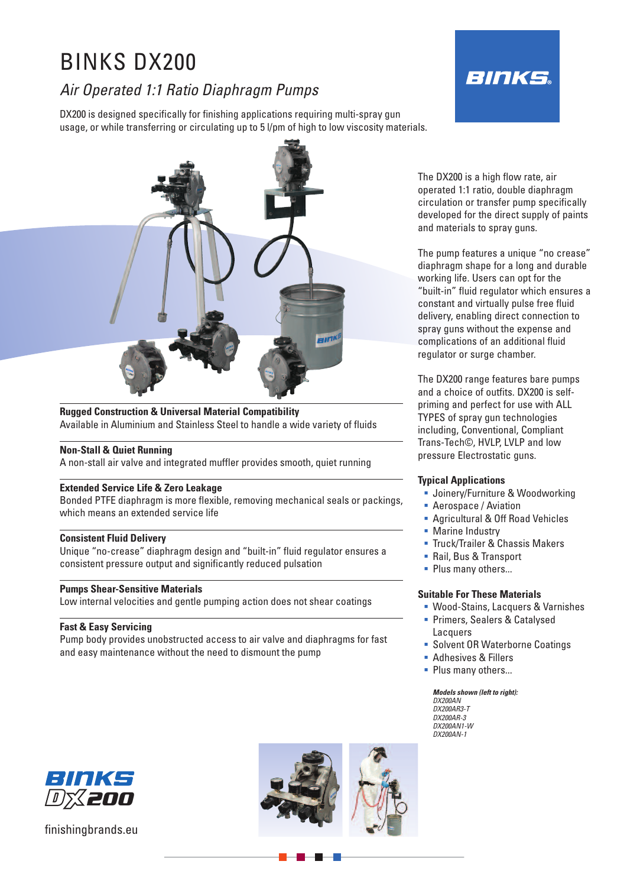# BINKS DX200

## *Air Operated 1:1 Ratio Diaphragm Pumps*

DX200 is designed specifically for finishing applications requiring multi-spray gun usage, or while transferring or circulating up to 5 l/pm of high to low viscosity materials.





#### **Rugged Construction & Universal Material Compatibility** Available in Aluminium and Stainless Steel to handle a wide variety of fluids

### **Non-Stall & Quiet Running**

A non-stall air valve and integrated muffler provides smooth, quiet running

#### **Extended Service Life & Zero Leakage**

Bonded PTFE diaphragm is more flexible, removing mechanical seals or packings, which means an extended service life

#### **Consistent Fluid Delivery**

Unique "no-crease" diaphragm design and "built-in" fluid regulator ensures a consistent pressure output and significantly reduced pulsation

#### **Pumps Shear-Sensitive Materials**

Low internal velocities and gentle pumping action does not shear coatings

### **Fast & Easy Servicing**

Pump body provides unobstructed access to air valve and diaphragms for fast and easy maintenance without the need to dismount the pump

The DX200 is a high flow rate, air operated 1:1 ratio, double diaphragm circulation or transfer pump specifically developed for the direct supply of paints and materials to spray guns.

The pump features a unique "no crease" diaphragm shape for a long and durable working life. Users can opt for the "built-in" fluid regulator which ensures a constant and virtually pulse free fluid delivery, enabling direct connection to spray guns without the expense and complications of an additional fluid regulator or surge chamber.

The DX200 range features bare pumps and a choice of outfits. DX200 is selfpriming and perfect for use with ALL TYPES of spray gun technologies including, Conventional, Compliant Trans-Tech©, HVLP, LVLP and low pressure Electrostatic guns.

#### **Typical Applications**

- **Joinery/Furniture & Woodworking**
- Aerospace / Aviation
- Agricultural & Off Road Vehicles
- **Marine Industry**
- **Truck/Trailer & Chassis Makers**
- Rail, Bus & Transport
- Plus many others...

### **Suitable For These Materials**

- Wood-Stains, Lacquers & Varnishes **Primers, Sealers & Catalysed**
- Lacquers
- **Solvent OR Waterborne Coatings**
- Adhesives & Fillers
- Plus many others...

#### *Models shown (left to right):*

*DX200AN DX200AR3-T DX200AR-3 DX200AN1-W DX200AN-1*



finishingbrands.eu